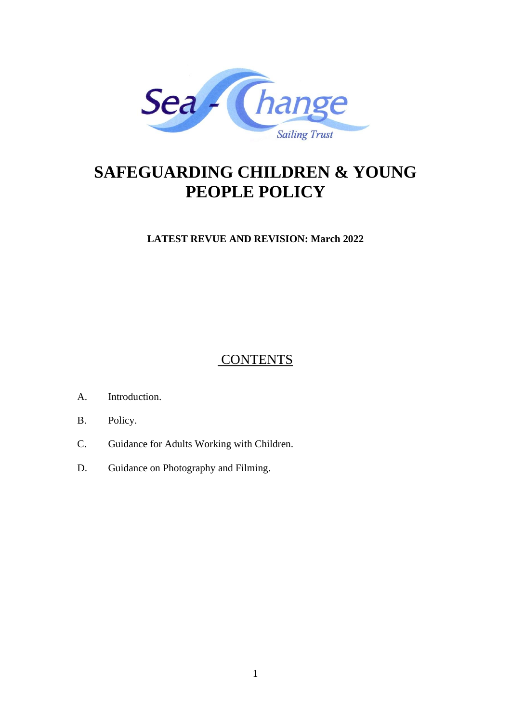

# **SAFEGUARDING CHILDREN & YOUNG PEOPLE POLICY**

**LATEST REVUE AND REVISION: March 2022**

**CONTENTS** 

- A. Introduction.
- B. Policy.
- C. Guidance for Adults Working with Children.
- D. Guidance on Photography and Filming.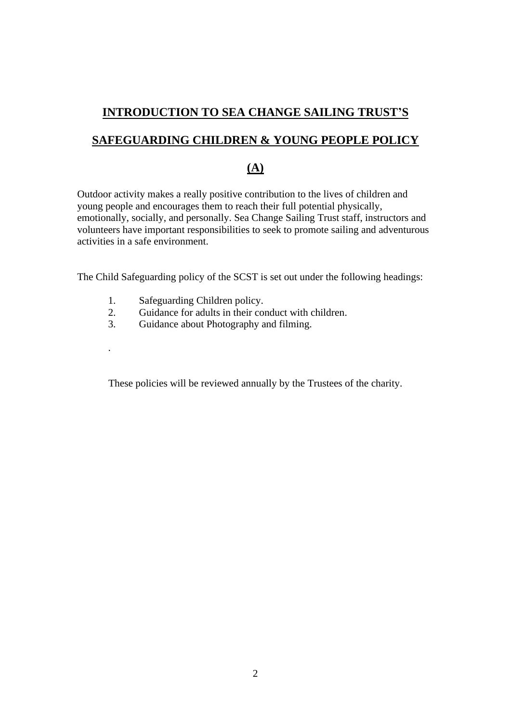# **INTRODUCTION TO SEA CHANGE SAILING TRUST'S**

## **SAFEGUARDING CHILDREN & YOUNG PEOPLE POLICY**

### **(A)**

Outdoor activity makes a really positive contribution to the lives of children and young people and encourages them to reach their full potential physically, emotionally, socially, and personally. Sea Change Sailing Trust staff, instructors and volunteers have important responsibilities to seek to promote sailing and adventurous activities in a safe environment.

The Child Safeguarding policy of the SCST is set out under the following headings:

1. Safeguarding Children policy.

.

- 2. Guidance for adults in their conduct with children.
- 3. Guidance about Photography and filming.

These policies will be reviewed annually by the Trustees of the charity.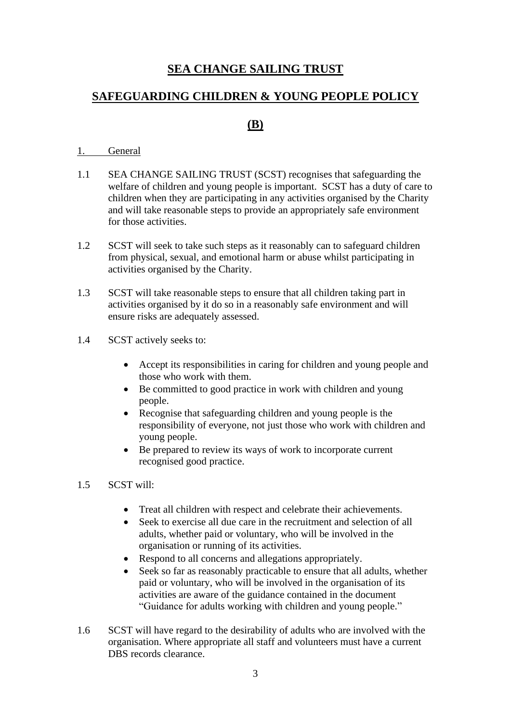# **SEA CHANGE SAILING TRUST**

## **SAFEGUARDING CHILDREN & YOUNG PEOPLE POLICY**

## **(B)**

#### 1. General

- 1.1 SEA CHANGE SAILING TRUST (SCST) recognises that safeguarding the welfare of children and young people is important. SCST has a duty of care to children when they are participating in any activities organised by the Charity and will take reasonable steps to provide an appropriately safe environment for those activities.
- 1.2 SCST will seek to take such steps as it reasonably can to safeguard children from physical, sexual, and emotional harm or abuse whilst participating in activities organised by the Charity.
- 1.3 SCST will take reasonable steps to ensure that all children taking part in activities organised by it do so in a reasonably safe environment and will ensure risks are adequately assessed.
- 1.4 SCST actively seeks to:
	- Accept its responsibilities in caring for children and young people and those who work with them.
	- Be committed to good practice in work with children and young people.
	- Recognise that safeguarding children and young people is the responsibility of everyone, not just those who work with children and young people.
	- Be prepared to review its ways of work to incorporate current recognised good practice.

#### 1.5 SCST will:

- Treat all children with respect and celebrate their achievements.
- Seek to exercise all due care in the recruitment and selection of all adults, whether paid or voluntary, who will be involved in the organisation or running of its activities.
- Respond to all concerns and allegations appropriately.
- Seek so far as reasonably practicable to ensure that all adults, whether paid or voluntary, who will be involved in the organisation of its activities are aware of the guidance contained in the document "Guidance for adults working with children and young people."
- 1.6 SCST will have regard to the desirability of adults who are involved with the organisation. Where appropriate all staff and volunteers must have a current DBS records clearance.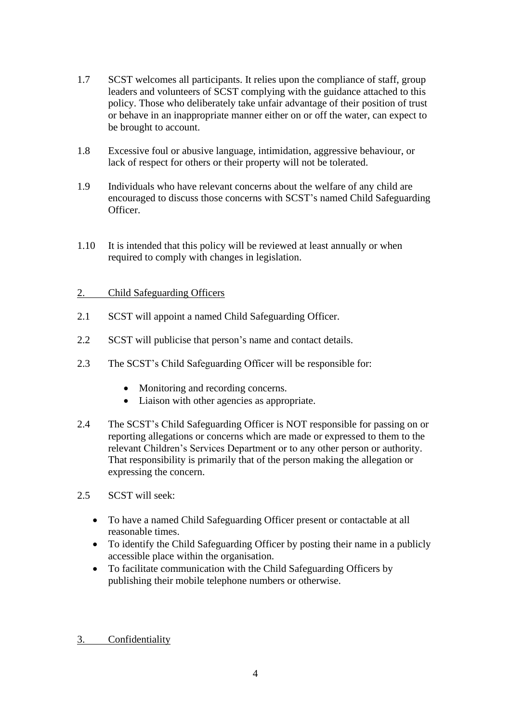- 1.7 SCST welcomes all participants. It relies upon the compliance of staff, group leaders and volunteers of SCST complying with the guidance attached to this policy. Those who deliberately take unfair advantage of their position of trust or behave in an inappropriate manner either on or off the water, can expect to be brought to account.
- 1.8 Excessive foul or abusive language, intimidation, aggressive behaviour, or lack of respect for others or their property will not be tolerated.
- 1.9 Individuals who have relevant concerns about the welfare of any child are encouraged to discuss those concerns with SCST's named Child Safeguarding Officer.
- 1.10 It is intended that this policy will be reviewed at least annually or when required to comply with changes in legislation.

#### 2. Child Safeguarding Officers

- 2.1 SCST will appoint a named Child Safeguarding Officer.
- 2.2 SCST will publicise that person's name and contact details.
- 2.3 The SCST's Child Safeguarding Officer will be responsible for:
	- Monitoring and recording concerns.
	- Liaison with other agencies as appropriate.
- 2.4 The SCST's Child Safeguarding Officer is NOT responsible for passing on or reporting allegations or concerns which are made or expressed to them to the relevant Children's Services Department or to any other person or authority. That responsibility is primarily that of the person making the allegation or expressing the concern.
- 2.5 SCST will seek:
	- To have a named Child Safeguarding Officer present or contactable at all reasonable times.
	- To identify the Child Safeguarding Officer by posting their name in a publicly accessible place within the organisation.
	- To facilitate communication with the Child Safeguarding Officers by publishing their mobile telephone numbers or otherwise.
- 3. Confidentiality